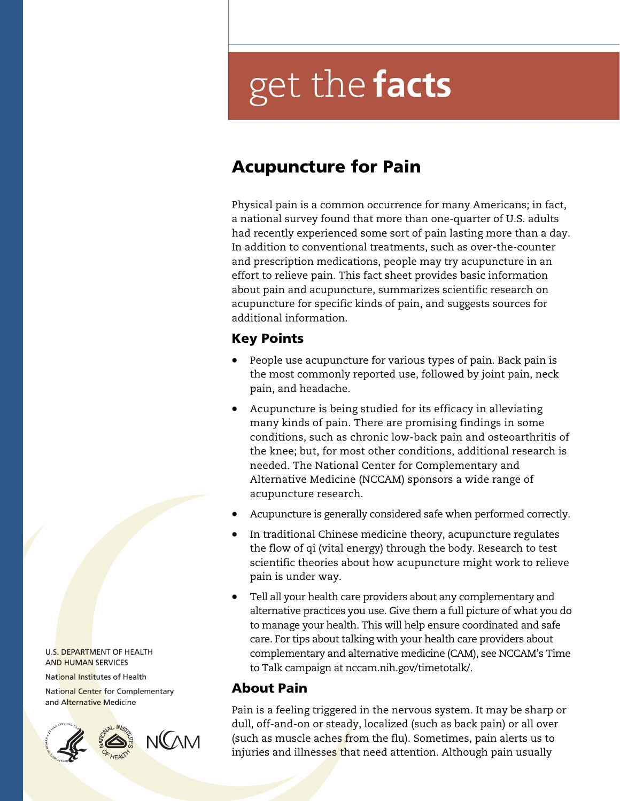# get the facts

## Acupuncture for Pain

Physical pain is a common occurrence for many Americans; in fact, a national survey found that more than one-quarter of U.S. adults had recently experienced some sort of pain lasting more than a day. In addition to conventional treatments, such as over-the-counter and prescription medications, people may try acupuncture in an effort to relieve pain. This fact sheet provides basic information about pain and acupuncture, summarizes scientific research on acupuncture for specific kinds of pain, and suggests sources for additional information.

## Key Points

- People use acupuncture for various types of pain. Back pain is the most commonly reported use, followed by joint pain, neck pain, and headache.
- Acupuncture is being studied for its efficacy in alleviating many kinds of pain. There are promising findings in some conditions, such as chronic low-back pain and osteoarthritis of the knee; but, for most other conditions, additional research is needed. The National Center for Complementary and Alternative Medicine (NCCAM) sponsors a wide range of acupuncture research.
- Acupuncture is generally considered safe when performed correctly.
- In traditional Chinese medicine theory, acupuncture regulates the flow of qi (vital energy) through the body. Research to test scientific theories about how acupuncture might work to relieve pain is under way.
- Tell all your health care providers about any complementary and alternative practices you use. Give them a full picture of what you do to manage your health. This will help ensure coordinated and safe care. For tips about talking with your health care providers about complementary and alternative medicine (CAM), see NCCAM's Time to Talk campaign at nccam.nih.gov/timetotalk/.

## About Pain

Pain is a feeling triggered in the nervous system. It may be sharp or dull, off-and-on or steady, localized (such as back pain) or all over (such as muscle aches from the flu). Sometimes, pain alerts us to injuries and illnesses that need attention. Although pain usually

U.S. DEPARTMENT OF HEALTH **AND HUMAN SERVICES** 

National Institutes of Health

National Center for Complementary and Alternative Medicine

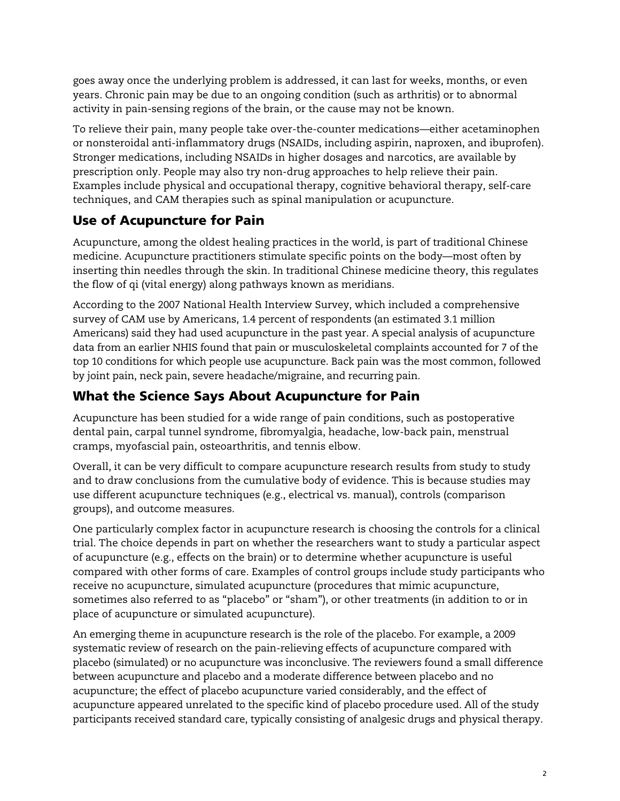goes away once the underlying problem is addressed, it can last for weeks, months, or even years. Chronic pain may be due to an ongoing condition (such as arthritis) or to abnormal activity in pain-sensing regions of the brain, or the cause may not be known.

To relieve their pain, many people take over-the-counter medications—either acetaminophen or nonsteroidal anti-inflammatory drugs (NSAIDs, including aspirin, naproxen, and ibuprofen). Stronger medications, including NSAIDs in higher dosages and narcotics, are available by prescription only. People may also try non-drug approaches to help relieve their pain. Examples include physical and occupational therapy, cognitive behavioral therapy, self-care techniques, and CAM therapies such as spinal manipulation or acupuncture.

## Use of Acupuncture for Pain

Acupuncture, among the oldest healing practices in the world, is part of traditional Chinese medicine. Acupuncture practitioners stimulate specific points on the body—most often by inserting thin needles through the skin. In traditional Chinese medicine theory, this regulates the flow of qi (vital energy) along pathways known as meridians.

According to the 2007 National Health Interview Survey, which included a comprehensive survey of CAM use by Americans, 1.4 percent of respondents (an estimated 3.1 million Americans) said they had used acupuncture in the past year. A special analysis of acupuncture data from an earlier NHIS found that pain or musculoskeletal complaints accounted for 7 of the top 10 conditions for which people use acupuncture. Back pain was the most common, followed by joint pain, neck pain, severe headache/migraine, and recurring pain.

## What the Science Says About Acupuncture for Pain

Acupuncture has been studied for a wide range of pain conditions, such as postoperative dental pain, carpal tunnel syndrome, fibromyalgia, headache, low-back pain, menstrual cramps, myofascial pain, osteoarthritis, and tennis elbow.

Overall, it can be very difficult to compare acupuncture research results from study to study and to draw conclusions from the cumulative body of evidence. This is because studies may use different acupuncture techniques (e.g., electrical vs. manual), controls (comparison groups), and outcome measures.

One particularly complex factor in acupuncture research is choosing the controls for a clinical trial. The choice depends in part on whether the researchers want to study a particular aspect of acupuncture (e.g., effects on the brain) or to determine whether acupuncture is useful compared with other forms of care. Examples of control groups include study participants who receive no acupuncture, simulated acupuncture (procedures that mimic acupuncture, sometimes also referred to as "placebo" or "sham"), or other treatments (in addition to or in place of acupuncture or simulated acupuncture).

An emerging theme in acupuncture research is the role of the placebo. For example, a 2009 systematic review of research on the pain-relieving effects of acupuncture compared with placebo (simulated) or no acupuncture was inconclusive. The reviewers found a small difference between acupuncture and placebo and a moderate difference between placebo and no acupuncture; the effect of placebo acupuncture varied considerably, and the effect of acupuncture appeared unrelated to the specific kind of placebo procedure used. All of the study participants received standard care, typically consisting of analgesic drugs and physical therapy.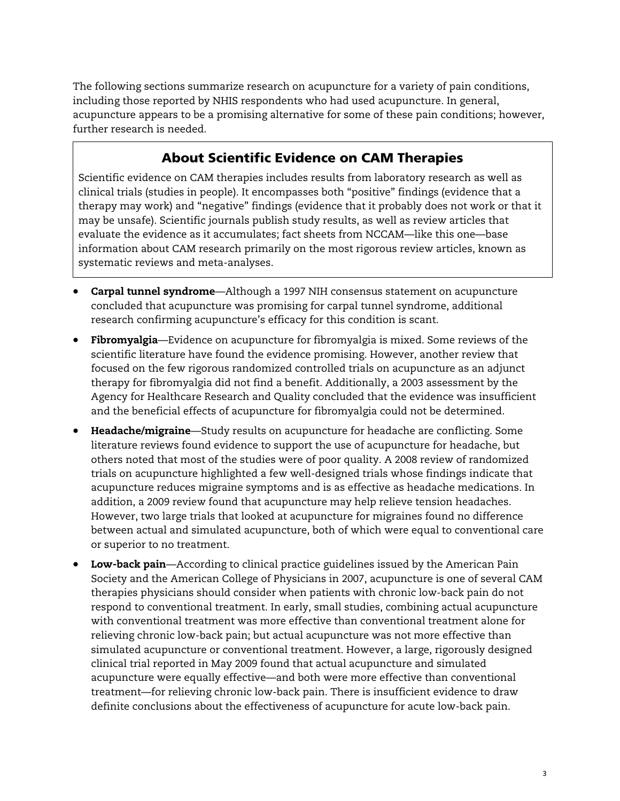The following sections summarize research on acupuncture for a variety of pain conditions, including those reported by NHIS respondents who had used acupuncture. In general, acupuncture appears to be a promising alternative for some of these pain conditions; however, further research is needed.

## About Scientific Evidence on CAM Therapies

Scientific evidence on CAM therapies includes results from laboratory research as well as clinical trials (studies in people). It encompasses both "positive" findings (evidence that a therapy may work) and "negative" findings (evidence that it probably does not work or that it may be unsafe). Scientific journals publish study results, as well as review articles that evaluate the evidence as it accumulates; fact sheets from NCCAM—like this one—base information about CAM research primarily on the most rigorous review articles, known as systematic reviews and meta-analyses.

- **Carpal tunnel syndrome**—Although a 1997 NIH consensus statement on acupuncture concluded that acupuncture was promising for carpal tunnel syndrome, additional research confirming acupuncture's efficacy for this condition is scant.
- and the beneficial effects of acupuncture for fibromyalgia could not be determined. Fibromyalgia—Evidence on acupuncture for fibromyalgia is mixed. Some reviews of the scientific literature have found the evidence promising. However, another review that focused on the few rigorous randomized controlled trials on acupuncture as an adjunct therapy for fibromyalgia did not find a benefit. Additionally, a 2003 assessment by the Agency for Healthcare Research and Quality concluded that the evidence was insufficient
- Headache/migraine—Study results on acupuncture for headache are conflicting. Some literature reviews found evidence to support the use of acupuncture for headache, but others noted that most of the studies were of poor quality. A 2008 review of randomized trials on acupuncture highlighted a few well-designed trials whose findings indicate that acupuncture reduces migraine symptoms and is as effective as headache medications. In addition, a 2009 review found that acupuncture may help relieve tension headaches. However, two large trials that looked at acupuncture for migraines found no difference between actual and simulated acupuncture, both of which were equal to conventional care or superior to no treatment.
- Low-back pain—According to clinical practice guidelines issued by the American Pain Society and the American College of Physicians in 2007, acupuncture is one of several CAM therapies physicians should consider when patients with chronic low-back pain do not respond to conventional treatment. In early, small studies, combining actual acupuncture with conventional treatment was more effective than conventional treatment alone for relieving chronic low-back pain; but actual acupuncture was not more effective than simulated acupuncture or conventional treatment. However, a large, rigorously designed clinical trial reported in May 2009 found that actual acupuncture and simulated acupuncture were equally effective—and both were more effective than conventional treatment—for relieving chronic low-back pain. There is insufficient evidence to draw definite conclusions about the effectiveness of acupuncture for acute low-back pain.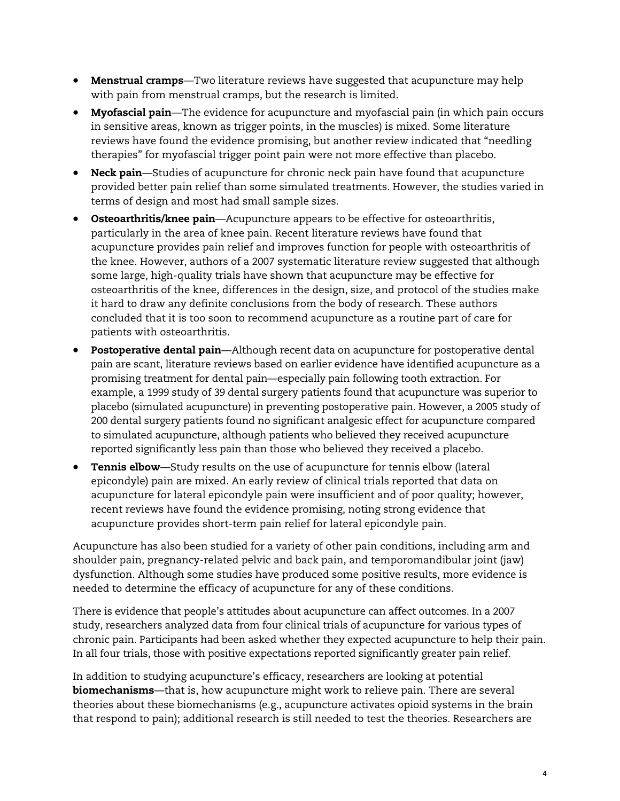- Menstrual cramps—Two literature reviews have suggested that acupuncture may help with pain from menstrual cramps, but the research is limited.
- Myofascial pain—The evidence for acupuncture and myofascial pain (in which pain occurs in sensitive areas, known as trigger points, in the muscles) is mixed. Some literature reviews have found the evidence promising, but another review indicated that "needling therapies" for myofascial trigger point pain were not more effective than placebo.
- terms of design and most had small sample sizes. Neck pain—Studies of acupuncture for chronic neck pain have found that acupuncture provided better pain relief than some simulated treatments. However, the studies varied in
- **Osteoarthritis/knee pain**—Acupuncture appears to be effective for osteoarthritis, particularly in the area of knee pain. Recent literature reviews have found that acupuncture provides pain relief and improves function for people with osteoarthritis of the knee. However, authors of a 2007 systematic literature review suggested that although some large, high-quality trials have shown that acupuncture may be effective for osteoarthritis of the knee, differences in the design, size, and protocol of the studies make it hard to draw any definite conclusions from the body of research. These authors concluded that it is too soon to recommend acupuncture as a routine part of care for patients with osteoarthritis.
- promising treatment for dental pain—especially pain following tooth extraction. For • Postoperative dental pain-Although recent data on acupuncture for postoperative dental pain are scant, literature reviews based on earlier evidence have identified acupuncture as a example, a 1999 study of 39 dental surgery patients found that acupuncture was superior to placebo (simulated acupuncture) in preventing postoperative pain. However, a 2005 study of 200 dental surgery patients found no significant analgesic effect for acupuncture compared to simulated acupuncture, although patients who believed they received acupuncture reported significantly less pain than those who believed they received a placebo.
- **Tennis elbow**—Study results on the use of acupuncture for tennis elbow (lateral epicondyle) pain are mixed. An early review of clinical trials reported that data on acupuncture for lateral epicondyle pain were insufficient and of poor quality; however, recent reviews have found the evidence promising, noting strong evidence that acupuncture provides short-term pain relief for lateral epicondyle pain.

Acupuncture has also been studied for a variety of other pain conditions, including arm and shoulder pain, pregnancy-related pelvic and back pain, and temporomandibular joint (jaw) dysfunction. Although some studies have produced some positive results, more evidence is needed to determine the efficacy of acupuncture for any of these conditions.

There is evidence that people's attitudes about acupuncture can affect outcomes. In a 2007 study, researchers analyzed data from four clinical trials of acupuncture for various types of chronic pain. Participants had been asked whether they expected acupuncture to help their pain. In all four trials, those with positive expectations reported significantly greater pain relief.

In addition to studying acupuncture's efficacy, researchers are looking at potential biomechanisms—that is, how acupuncture might work to relieve pain. There are several theories about these biomechanisms (e.g., acupuncture activates opioid systems in the brain that respond to pain); additional research is still needed to test the theories. Researchers are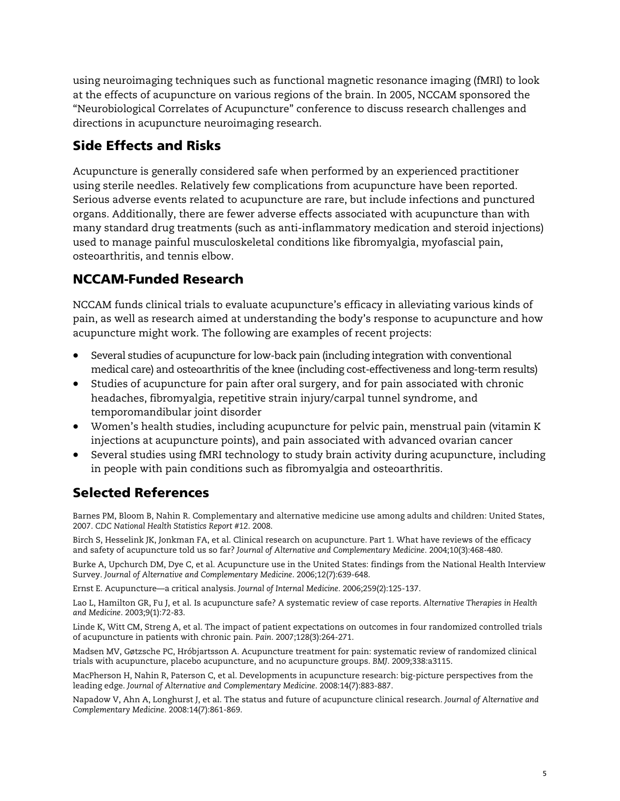using neuroimaging techniques such as functional magnetic resonance imaging (fMRI) to look at the effects of acupuncture on various regions of the brain. In 2005, NCCAM sponsored the "Neurobiological Correlates of Acupuncture" conference to discuss research challenges and directions in acupuncture neuroimaging research.

## Side Effects and Risks

Acupuncture is generally considered safe when performed by an experienced practitioner using sterile needles. Relatively few complications from acupuncture have been reported. Serious adverse events related to acupuncture are rare, but include infections and punctured organs. Additionally, there are fewer adverse effects associated with acupuncture than with many standard drug treatments (such as anti-inflammatory medication and steroid injections) used to manage painful musculoskeletal conditions like fibromyalgia, myofascial pain, osteoarthritis, and tennis elbow.

## NCCAM-Funded Research

NCCAM funds clinical trials to evaluate acupuncture's efficacy in alleviating various kinds of pain, as well as research aimed at understanding the body's response to acupuncture and how acupuncture might work. The following are examples of recent projects:

- Several studies of acupuncture for low-back pain (including integration with conventional medical care) and osteoarthritis of the knee (including cost-effectiveness and long-term results)
- Studies of acupuncture for pain after oral surgery, and for pain associated with chronic headaches, fibromyalgia, repetitive strain injury/carpal tunnel syndrome, and temporomandibular joint disorder
- Women's health studies, including acupuncture for pelvic pain, menstrual pain (vitamin K injections at acupuncture points), and pain associated with advanced ovarian cancer
- Several studies using fMRI technology to study brain activity during acupuncture, including in people with pain conditions such as fibromyalgia and osteoarthritis.

## Selected References

Barnes PM, Bloom B, Nahin R. Complementary and alternative medicine use among adults and children: United States, 2007. *CDC National Health Statistics Report #12*. 2008.

Birch S, Hesselink JK, Jonkman FA, et al. Clinical research on acupuncture. Part 1. What have reviews of the efficacy and safety of acupuncture told us so far? *Journal of Alternative and Complementary Medicine*. 2004;10(3):468-480.

Burke A, Upchurch DM, Dye C, et al. Acupuncture use in the United States: findings from the National Health Interview Survey. *Journal of Alternative and Complementary Medicine*. 2006;12(7):639-648.

Ernst E. Acupuncture—a critical analysis. *Journal of Internal Medicine*. 2006;259(2):125-137.

Lao L, Hamilton GR, Fu J, et al. Is acupuncture safe? A systematic review of case reports. *Alternative Therapies in Health and Medicine*. 2003;9(1):72-83.

Linde K, Witt CM, Streng A, et al. The impact of patient expectations on outcomes in four randomized controlled trials of acupuncture in patients with chronic pain. *Pain*. 2007;128(3):264-271.

Madsen MV, Gøtzsche PC, Hróbjartsson A. Acupuncture treatment for pain: systematic review of randomized clinical trials with acupuncture, placebo acupuncture, and no acupuncture groups. *BMJ*. 2009;338:a3115.

MacPherson H, Nahin R, Paterson C, et al. Developments in acupuncture research: big-picture perspectives from the leading edge. *Journal of Alternative and Complementary Medicine*. 2008:14(7):883-887.

Napadow V, Ahn A, Longhurst J, et al. The status and future of acupuncture clinical research. *Journal of Alternative and Complementary Medicine*. 2008:14(7):861-869.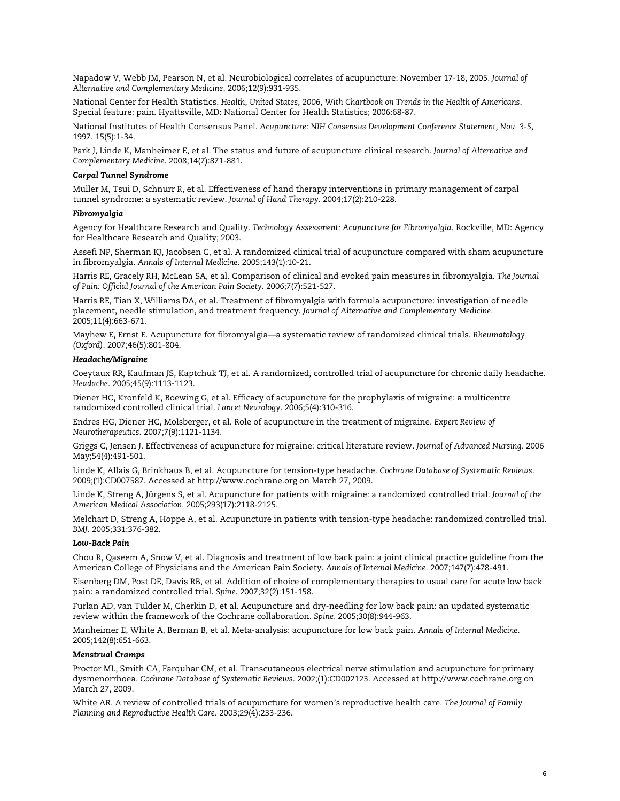Napadow V, Webb JM, Pearson N, et al. Neurobiological correlates of acupuncture: November 17-18, 2005. *Journal of Alternative and Complementary Medicine*. 2006;12(9):931-935.

 National Center for Health Statistics. *Health, United States, 2006, With Chartbook on Trends in the Health of Americans*. Special feature: pain. Hyattsville, MD: National Center for Health Statistics; 2006:68-87.

1997. 15(5):1-34. National Institutes of Health Consensus Panel. *Acupuncture: NIH Consensus Development Conference Statement, Nov. 3-5,* 

1997. 15(5):1-34. Park J, Linde K, Manheimer E, et al. The status and future of acupuncture clinical research*. Journal of Alternative and Complementary Medicine*. 2008;14(7):871-881.

#### *Carpal Tunnel Syndrome*

Muller M, Tsui D, Schnurr R, et al. Effectiveness of hand therapy interventions in primary management of carpal tunnel syndrome: a systematic review. *Journal of Hand Therapy*. 2004;17(2):210-228.

#### *Fibromyalgia*

Agency for Healthcare Research and Quality. *Technology Assessment: Acupuncture for Fibromyalgia*. Rockville, MD: Agency for Healthcare Research and Quality; 2003.

in fibromyalgia. Annals of Internal Medicine. 2005;143(1):10-21. Assefi NP, Sherman KJ, Jacobsen C, et al. A randomized clinical trial of acupuncture compared with sham acupuncture

in fibromyalgia. *Annals of Internal Medicine*. 2005;143(1):10-21. Harris RE, Gracely RH, McLean SA, et al. Comparison of clinical and evoked pain measures in fibromyalgia. *The Journal of Pain: Official Journal of the American Pain Society*. 2006;7(7):521-527.

Harris RE, Tian X, Williams DA, et al. Treatment of fibromyalgia with formula acupuncture: investigation of needle placement, needle stimulation, and treatment frequency. *Journal of Alternative and Complementary Medicine*. 2005;11(4):663-671.

Mayhew E, Ernst E. Acupuncture for fibromyalgia—a systematic review of randomized clinical trials. *Rheumatology (Oxford).* 2007;46(5):801-804.

#### *Headache/Migraine*

Coeytaux RR, Kaufman JS, Kaptchuk TJ, et al. A randomized, controlled trial of acupuncture for chronic daily headache. *Headache*. 2005;45(9):1113-1123.

Diener HC, Kronfeld K, Boewing G, et al. Efficacy of acupuncture for the prophylaxis of migraine: a multicentre randomized controlled clinical trial. *Lancet Neurology*. 2006;5(4):310-316.

Endres HG, Diener HC, Molsberger, et al. Role of acupuncture in the treatment of migraine. *Expert Review of Neurotherapeutics*. 2007;7(9):1121-1134.

Griggs C, Jensen J. Effectiveness of acupuncture for migraine: critical literature review. *Journal of Advanced Nursing.* 2006 May;54(4):491-501.

2009;(1):CD007587. Accessed at http://www.cochrane.org on March 27, 2009. Linde K, Allais G, Brinkhaus B, et al. Acupuncture for tension-type headache. *Cochrane Database of Systematic Reviews*.

Linde K, Streng A, Jürgens S, et al. Acupuncture for patients with migraine: a randomized controlled trial. *Journal of the American Medical Association*. 2005;293(17):2118-2125.

Melchart D, Streng A, Hoppe A, et al. Acupuncture in patients with tension-type headache: randomized controlled trial. *BMJ*. 2005;331:376-382.

#### *Low-Back Pain*

Chou R, Qaseem A, Snow V, et al. Diagnosis and treatment of low back pain: a joint clinical practice guideline from the American College of Physicians and the American Pain Society. *Annals of Internal Medicine*. 2007;147(7):478-491.

pain: a randomized controlled trial. Spine. 2007;32(2):151-158. Eisenberg DM, Post DE, Davis RB, et al. Addition of choice of complementary therapies to usual care for acute low back

Furlan AD, van Tulder M, Cherkin D, et al. Acupuncture and dry-needling for low back pain: an updated systematic review within the framework of the Cochrane collaboration. *Spine.* 2005;30(8):944-963.

Manheimer E, White A, Berman B, et al. Meta-analysis: acupuncture for low back pain. *Annals of Internal Medicine.*  2005;142(8):651-663.

#### *Menstrual Cramps*

March 27, 2009. Proctor ML, Smith CA, Farquhar CM, et al. Transcutaneous electrical nerve stimulation and acupuncture for primary dysmenorrhoea. *Cochrane Database of Systematic Reviews*. 2002;(1):CD002123. Accessed at http://www.cochrane.org on

White AR. A review of controlled trials of acupuncture for women's reproductive health care. The Journal of Family *Planning and Reproductive Health Care*. 2003;29(4):233-236.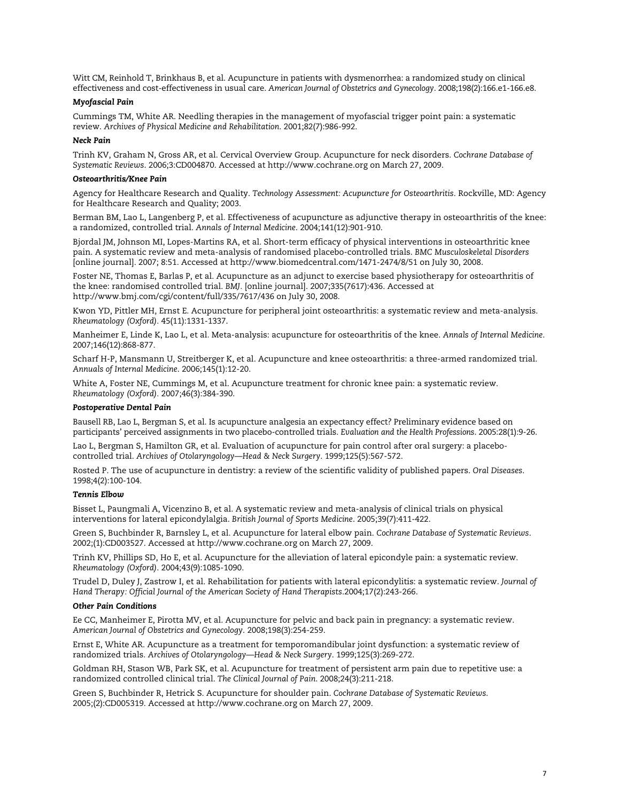Witt CM, Reinhold T, Brinkhaus B, et al. Acupuncture in patients with dysmenorrhea: a randomized study on clinical effectiveness and cost-effectiveness in usual care. *American Journal of Obstetrics and Gynecology*. 2008;198(2):166.e1-166.e8.

#### *Myofascial Pain*

Cummings TM, White AR. Needling therapies in the management of myofascial trigger point pain: a systematic review. *Archives of Physical Medicine and Rehabilitation*. 2001;82(7):986-992.

#### *Neck Pain*

Trinh KV, Graham N, Gross AR, et al. Cervical Overview Group. Acupuncture for neck disorders. *Cochrane Database of Systematic Reviews*. 2006;3:CD004870. Accessed at http://www.cochrane.org on March 27, 2009.

#### *Osteoarthritis/Knee Pain*

Agency for Healthcare Research and Quality. *Technology Assessment: Acupuncture for Osteoarthritis*. Rockville, MD: Agency for Healthcare Research and Quality; 2003.

Berman BM, Lao L, Langenberg P, et al. Effectiveness of acupuncture as adjunctive therapy in osteoarthritis of the knee: a randomized, controlled trial. *Annals of Internal Medicine*. 2004;141(12):901-910.

Bjordal JM, Johnson MI, Lopes-Martins RA, et al. Short-term efficacy of physical interventions in osteoarthritic knee pain. A systematic review and meta-analysis of randomised placebo-controlled trials. *BMC Musculoskeletal Disorders*  [online journal]. 2007; 8:51. Accessed at http://www.biomedcentral.com/1471-2474/8/51 on July 30, 2008.

Foster NE, Thomas E, Barlas P, et al. Acupuncture as an adjunct to exercise based physiotherapy for osteoarthritis of the knee: randomised controlled trial. *BMJ.* [online journal]. 2007;335(7617):436. Accessed at http://www.bmj.com/cgi/content/full/335/7617/436 on July 30, 2008.

Kwon YD, Pittler MH, Ernst E. Acupuncture for peripheral joint osteoarthritis: a systematic review and meta-analysis. *Rheumatology (Oxford).* 45(11):1331-1337.

Manheimer E, Linde K, Lao L, et al. Meta-analysis: acupuncture for osteoarthritis of the knee. *Annals of Internal Medicine*. 2007;146(12):868-877.

Scharf H-P, Mansmann U, Streitberger K, et al. Acupuncture and knee osteoarthritis: a three-armed randomized trial. *Annuals of Internal Medicine*. 2006;145(1):12-20.

White A, Foster NE, Cummings M, et al. Acupuncture treatment for chronic knee pain: a systematic review. *Rheumatology (Oxford).* 2007;46(3):384-390.

#### *Postoperative Dental Pain*

 Bausell RB, Lao L, Bergman S, et al. Is acupuncture analgesia an expectancy effect? Preliminary evidence based on participants' perceived assignments in two placebo-controlled trials. Evaluation and the Health Professions. 2005:28(1):9-26.

Lao L, Bergman S, Hamilton GR, et al. Evaluation of acupuncture for pain control after oral surgery: a placebocontrolled trial. *Archives of Otolaryngology—Head & Neck Surgery*. 1999;125(5):567-572.

Rosted P. The use of acupuncture in dentistry: a review of the scientific validity of published papers. *Oral Diseases*. 1998;4(2):100-104.

#### *Tennis Elbow*

Bisset L, Paungmali A, Vicenzino B, et al. A systematic review and meta-analysis of clinical trials on physical interventions for lateral epicondylalgia. *British Journal of Sports Medicine*. 2005;39(7):411-422.

2002;(1):CD003527. Accessed at http://www.cochrane.org on March 27, 2009. Green S, Buchbinder R, Barnsley L, et al. Acupuncture for lateral elbow pain. *Cochrane Database of Systematic Reviews*.

Trinh KV, Phillips SD, Ho E, et al. Acupuncture for the alleviation of lateral epicondyle pain: a systematic review. *Rheumatology (Oxford)*. 2004;43(9):1085-1090.

Trudel D, Duley J, Zastrow I, et al. Rehabilitation for patients with lateral epicondylitis: a systematic review. *Journal of Hand Therapy: Official Journal of the American Society of Hand Therapists*.2004;17(2):243-266.

#### *Other Pain Conditions*

Ee CC, Manheimer E, Pirotta MV, et al. Acupuncture for pelvic and back pain in pregnancy: a systematic review. *American Journal of Obstetrics and Gynecology*. 2008;198(3):254-259.

Ernst E, White AR. Acupuncture as a treatment for temporomandibular joint dysfunction: a systematic review of randomized trials. *Archives of Otolaryngology—Head & Neck Surgery*. 1999;125(3):269-272.

Goldman RH, Stason WB, Park SK, et al. Acupuncture for treatment of persistent arm pain due to repetitive use: a randomized controlled clinical trial. *The Clinical Journal of Pain*. 2008;24(3):211-218.

 2005;(2):CD005319. Accessed at http://www.cochrane.org on March 27, 2009. Green S, Buchbinder R, Hetrick S. Acupuncture for shoulder pain. *Cochrane Database of Systematic Reviews*.